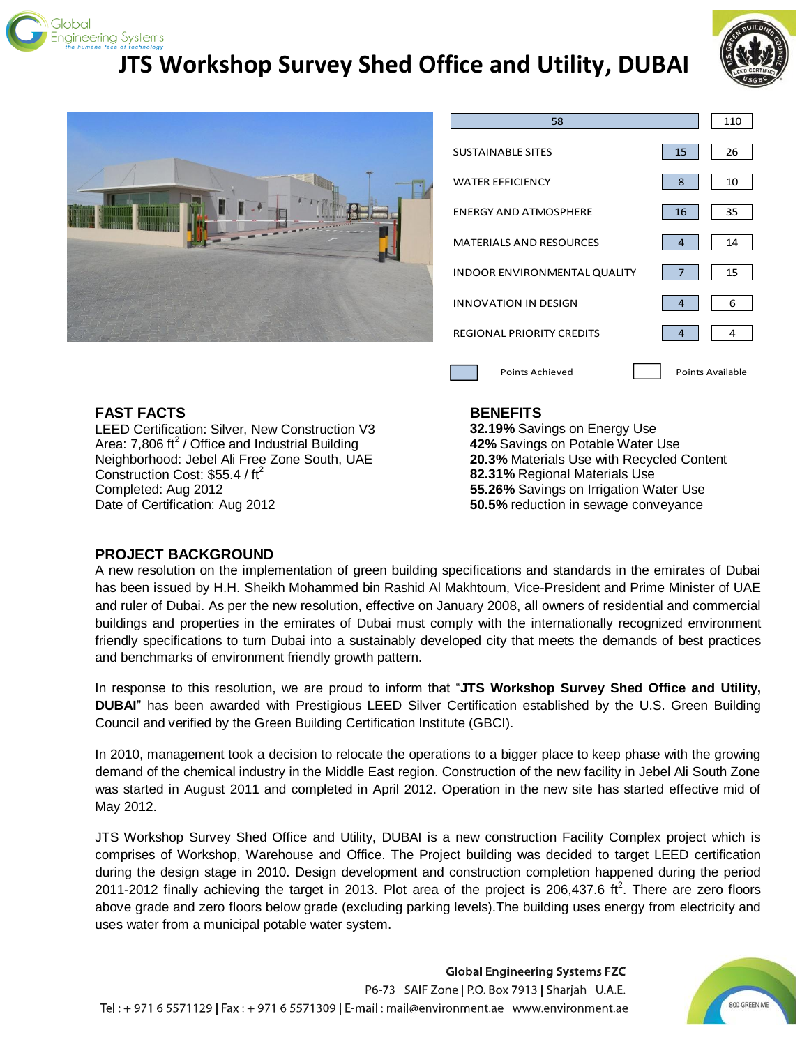

## **JTS Workshop Survey Shed Office and Utility, DUBAI**





| 58                                  |                | 110              |
|-------------------------------------|----------------|------------------|
| <b>SUSTAINABLE SITES</b>            | 15             | 26               |
| <b>WATER EFFICIENCY</b>             | 8              | 10               |
| <b>ENERGY AND ATMOSPHERE</b>        | 16             | 35               |
| <b>MATERIALS AND RESOURCES</b>      | 4              | 14               |
| <b>INDOOR ENVIRONMENTAL QUALITY</b> | $\overline{7}$ | 15               |
| <b>INNOVATION IN DESIGN</b>         | $\overline{4}$ | 6                |
| <b>REGIONAL PRIORITY CREDITS</b>    | 4              | 4                |
| Points Achieved                     |                | Points Available |

#### **FAST FACTS**

LEED Certification: Silver, New Construction V3 Area: 7,806 ft<sup>2</sup> / Office and Industrial Building Neighborhood: Jebel Ali Free Zone South, UAE Construction Cost: \$55.4 / ft<sup>2</sup> Completed: Aug 2012 Date of Certification: Aug 2012

#### **BENEFITS**

**32.19%** Savings on Energy Use **42%** Savings on Potable Water Use **20.3%** Materials Use with Recycled Content **82.31%** Regional Materials Use **55.26%** Savings on Irrigation Water Use **50.5%** reduction in sewage conveyance

#### **PROJECT BACKGROUND**

A new resolution on the implementation of green building specifications and standards in the emirates of Dubai has been issued by H.H. Sheikh Mohammed bin Rashid Al Makhtoum, Vice-President and Prime Minister of UAE and ruler of Dubai. As per the new resolution, effective on January 2008, all owners of residential and commercial buildings and properties in the emirates of Dubai must comply with the internationally recognized environment friendly specifications to turn Dubai into a sustainably developed city that meets the demands of best practices and benchmarks of environment friendly growth pattern.

In response to this resolution, we are proud to inform that "**JTS Workshop Survey Shed Office and Utility, DUBAI**" has been awarded with Prestigious LEED Silver Certification established by the U.S. Green Building Council and verified by the Green Building Certification Institute (GBCI).

In 2010, management took a decision to relocate the operations to a bigger place to keep phase with the growing demand of the chemical industry in the Middle East region. Construction of the new facility in Jebel Ali South Zone was started in August 2011 and completed in April 2012. Operation in the new site has started effective mid of May 2012.

JTS Workshop Survey Shed Office and Utility, DUBAI is a new construction Facility Complex project which is comprises of Workshop, Warehouse and Office. The Project building was decided to target LEED certification during the design stage in 2010. Design development and construction completion happened during the period 2011-2012 finally achieving the target in 2013. Plot area of the project is 206,437.6 ft<sup>2</sup>. There are zero floors above grade and zero floors below grade (excluding parking levels).The building uses energy from electricity and uses water from a municipal potable water system.

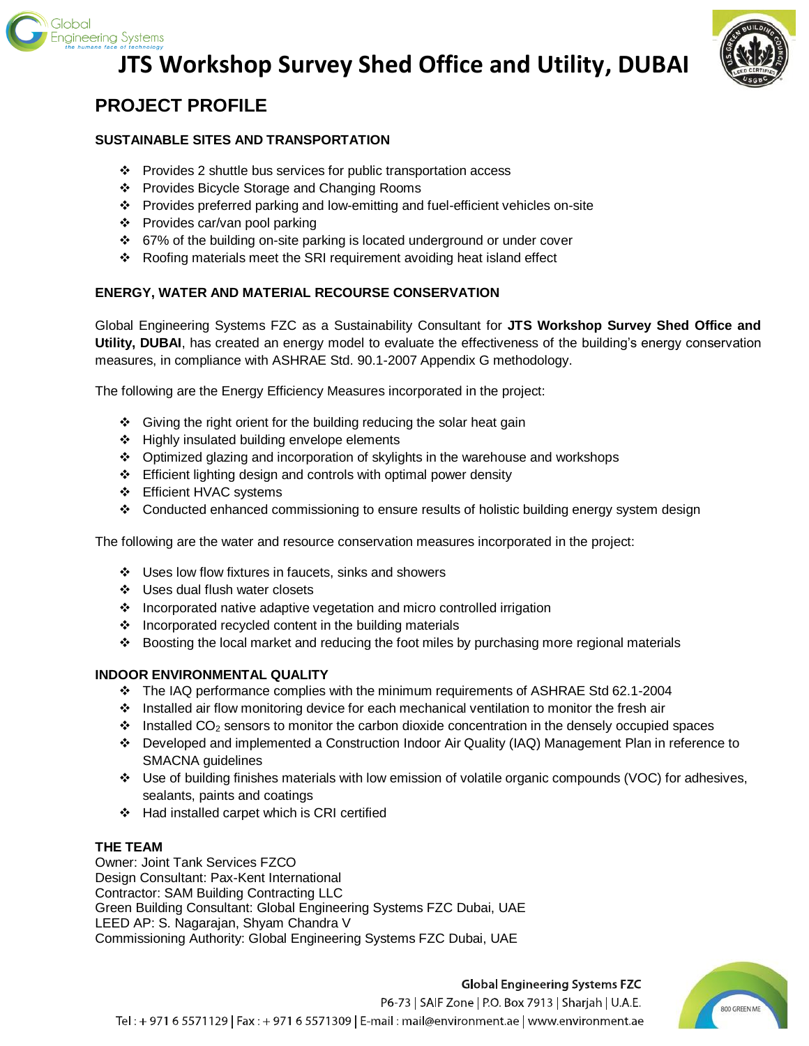

# **JTS Workshop Survey Shed Office and Utility, DUBAI**



### **PROJECT PROFILE**

#### **SUSTAINABLE SITES AND TRANSPORTATION**

- Provides 2 shuttle bus services for public transportation access
- Provides Bicycle Storage and Changing Rooms
- Provides preferred parking and low-emitting and fuel-efficient vehicles on-site
- Provides car/van pool parking
- 67% of the building on-site parking is located underground or under cover
- $\div$  Roofing materials meet the SRI requirement avoiding heat island effect

#### **ENERGY, WATER AND MATERIAL RECOURSE CONSERVATION**

Global Engineering Systems FZC as a Sustainability Consultant for **JTS Workshop Survey Shed Office and Utility, DUBAI**, has created an energy model to evaluate the effectiveness of the building's energy conservation measures, in compliance with ASHRAE Std. 90.1-2007 Appendix G methodology.

The following are the Energy Efficiency Measures incorporated in the project:

- $\div$  Giving the right orient for the building reducing the solar heat gain
- ❖ Highly insulated building envelope elements
- Optimized glazing and incorporation of skylights in the warehouse and workshops
- $\div$  Efficient lighting design and controls with optimal power density
- ❖ Efficient HVAC systems
- ❖ Conducted enhanced commissioning to ensure results of holistic building energy system design

The following are the water and resource conservation measures incorporated in the project:

- Uses low flow fixtures in faucets, sinks and showers
- ❖ Uses dual flush water closets
- ❖ Incorporated native adaptive vegetation and micro controlled irrigation
- $\cdot$  Incorporated recycled content in the building materials
- $\div$  Boosting the local market and reducing the foot miles by purchasing more regional materials

#### **INDOOR ENVIRONMENTAL QUALITY**

- The IAQ performance complies with the minimum requirements of ASHRAE Std 62.1-2004
- Installed air flow monitoring device for each mechanical ventilation to monitor the fresh air
- $\cdot \cdot$  Installed CO<sub>2</sub> sensors to monitor the carbon dioxide concentration in the densely occupied spaces
- Developed and implemented a Construction Indoor Air Quality (IAQ) Management Plan in reference to SMACNA guidelines
- Use of building finishes materials with low emission of volatile organic compounds (VOC) for adhesives, sealants, paints and coatings
- Had installed carpet which is CRI certified

#### **THE TEAM**

Owner: Joint Tank Services FZCO Design Consultant: Pax-Kent International Contractor: SAM Building Contracting LLC Green Building Consultant: Global Engineering Systems FZC Dubai, UAE LEED AP: S. Nagarajan, Shyam Chandra V Commissioning Authority: Global Engineering Systems FZC Dubai, UAE